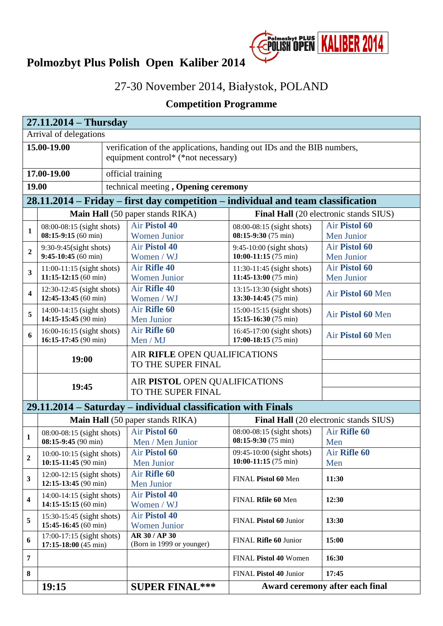

## **Polmozbyt Plus Polish Open Kaliber 2014**

## 27-30 November 2014, Białystok, POLAND

## **Competition Programme**

|                         | $27.11.2014 - Thursday$                                      |  |                                                                                                               |                                                               |                                        |  |
|-------------------------|--------------------------------------------------------------|--|---------------------------------------------------------------------------------------------------------------|---------------------------------------------------------------|----------------------------------------|--|
|                         | Arrival of delegations                                       |  |                                                                                                               |                                                               |                                        |  |
|                         | 15.00-19.00                                                  |  | verification of the applications, handing out IDs and the BIB numbers,<br>equipment control* (*not necessary) |                                                               |                                        |  |
|                         | 17.00-19.00                                                  |  | official training                                                                                             |                                                               |                                        |  |
| 19.00                   |                                                              |  | technical meeting, Opening ceremony                                                                           |                                                               |                                        |  |
|                         |                                                              |  | 28.11.2014 – Friday – first day competition – individual and team classification                              |                                                               |                                        |  |
|                         |                                                              |  | <b>Main Hall</b> (50 paper stands RIKA)                                                                       |                                                               | Final Hall (20 electronic stands SIUS) |  |
| 1                       | 08:00-08:15 (sight shots)<br>$08:15-9:15(60 \text{ min})$    |  | <b>Air Pistol 40</b>                                                                                          | 08:00-08:15 (sight shots)<br>08:15-9:30 (75 min)              | Air Pistol 60                          |  |
|                         |                                                              |  | <b>Women Junior</b><br><b>Air Pistol 40</b>                                                                   |                                                               | Men Junior<br>Air Pistol 60            |  |
| $\mathbf{2}$            | $9:30-9:45$ (sight shots)<br>$9:45-10:45(60)$ min)           |  | Women / WJ                                                                                                    | 9:45-10:00 (sight shots)<br>10:00-11:15 $(75 \text{ min})$    | Men Junior                             |  |
|                         | $11:00-11:15$ (sight shots)                                  |  | Air Rifle 40                                                                                                  | 11:30-11:45 (sight shots)                                     | Air Pistol 60                          |  |
| 3                       | $11:15-12:15(60 \text{ min})$                                |  | <b>Women Junior</b>                                                                                           | 11:45-13:00 (75 min)                                          | Men Junior                             |  |
| $\overline{\mathbf{4}}$ | 12:30-12:45 (sight shots)<br>12:45-13:45 (60 min)            |  | Air Rifle 40<br>Women / WJ                                                                                    | 13:15-13:30 (sight shots)<br>13:30-14:45 (75 min)             | Air Pistol 60 Men                      |  |
| 5                       | $14:00-14:15$ (sight shots)<br>14:15-15:45 (90 min)          |  | Air Rifle 60<br>Men Junior                                                                                    | $15:00-15:15$ (sight shots)<br>15:15-16:30 $(75 \text{ min})$ | Air Pistol 60 Men                      |  |
| 6                       | 16:00-16:15 (sight shots)<br>16:15-17:45 (90 min)            |  | Air Rifle 60<br>Men / MJ                                                                                      | 16:45-17:00 (sight shots)<br>17:00-18:15 (75 min)             | Air Pistol 60 Men                      |  |
|                         | 19:00                                                        |  | AIR RIFLE OPEN QUALIFICATIONS<br>TO THE SUPER FINAL                                                           |                                                               |                                        |  |
|                         | 19:45                                                        |  | AIR PISTOL OPEN QUALIFICATIONS<br>TO THE SUPER FINAL                                                          |                                                               |                                        |  |
|                         |                                                              |  | 29.11.2014 – Saturday – individual classification with Finals                                                 |                                                               |                                        |  |
|                         |                                                              |  | <b>Main Hall</b> (50 paper stands RIKA)                                                                       | Final Hall (20 electronic stands SIUS)                        |                                        |  |
| 1                       | 08:00-08:15 (sight shots)<br>08:15-9:45 (90 min)             |  | Air Pistol 60<br>Men / Men Junior                                                                             | 08:00-08:15 (sight shots)<br>08:15-9:30 (75 min)              | Air Rifle 60<br>Men                    |  |
| $\boldsymbol{2}$        | $10:00-10:15$ (sight shots)<br>10:15-11:45 (90 min)          |  | Air Pistol 60<br>Men Junior                                                                                   | 09:45-10:00 (sight shots)<br>10:00-11:15 $(75 \text{ min})$   | Air Rifle 60<br>Men                    |  |
| 3                       | $12:00-12:15$ (sight shots)<br>$12:15-13:45(90 \text{ min})$ |  | Air Rifle 60<br>Men Junior                                                                                    | FINAL Pistol 60 Men                                           | 11:30                                  |  |
| 4                       | 14:00-14:15 (sight shots)<br>14:15-15:15 (60 min)            |  | <b>Air Pistol 40</b><br>Women / WJ                                                                            | FINAL Rfile 60 Men                                            | 12:30                                  |  |
| 5                       | 15:30-15:45 (sight shots)<br>15:45-16:45 (60 min)            |  | <b>Air Pistol 40</b><br><b>Women Junior</b>                                                                   | FINAL Pistol 60 Junior                                        | 13:30                                  |  |
| 6                       | 17:00-17:15 (sight shots)<br>17:15-18:00 (45 min)            |  | <b>AR 30 / AP 30</b><br>(Born in 1999 or younger)                                                             | FINAL Rifle 60 Junior                                         | 15:00                                  |  |
| 7                       |                                                              |  |                                                                                                               | FINAL Pistol 40 Women                                         | 16:30                                  |  |
| 8                       |                                                              |  |                                                                                                               | FINAL Pistol 40 Junior                                        | 17:45                                  |  |
|                         | 19:15                                                        |  | <b>SUPER FINAL***</b>                                                                                         |                                                               | Award ceremony after each final        |  |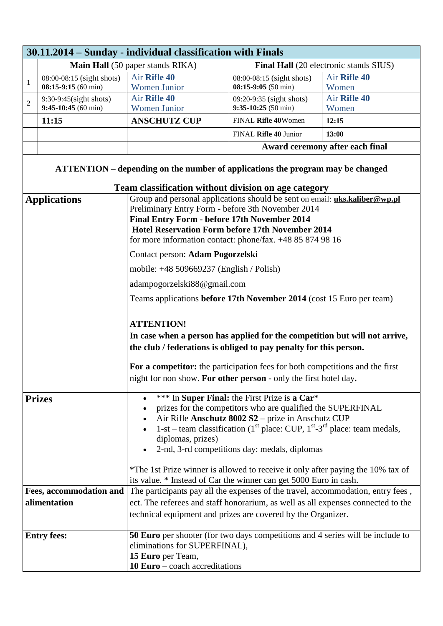|                                  | 30.11.2014 – Sunday - individual classification with Finals                    |                                                                                                                                                                                                                                                                                                                                                                                                                                                                                                                                                                                                                                                                                                                                                                                                                                                                                    |                                                           |                                 |  |  |  |
|----------------------------------|--------------------------------------------------------------------------------|------------------------------------------------------------------------------------------------------------------------------------------------------------------------------------------------------------------------------------------------------------------------------------------------------------------------------------------------------------------------------------------------------------------------------------------------------------------------------------------------------------------------------------------------------------------------------------------------------------------------------------------------------------------------------------------------------------------------------------------------------------------------------------------------------------------------------------------------------------------------------------|-----------------------------------------------------------|---------------------------------|--|--|--|
| Main Hall (50 paper stands RIKA) |                                                                                |                                                                                                                                                                                                                                                                                                                                                                                                                                                                                                                                                                                                                                                                                                                                                                                                                                                                                    | Final Hall (20 electronic stands SIUS)                    |                                 |  |  |  |
| 1                                | 08:00-08:15 (sight shots)<br>$08:15-9:15(60 \text{ min})$                      | Air Rifle 40<br><b>Women Junior</b>                                                                                                                                                                                                                                                                                                                                                                                                                                                                                                                                                                                                                                                                                                                                                                                                                                                | 08:00-08:15 (sight shots)<br>$08:15-9:05(50 \text{ min})$ | Air Rifle 40<br>Women           |  |  |  |
| $\overline{c}$                   | 9:30-9:45(sight shots)<br>$9:45-10:45(60 \text{ min})$                         | Air Rifle 40<br><b>Women Junior</b>                                                                                                                                                                                                                                                                                                                                                                                                                                                                                                                                                                                                                                                                                                                                                                                                                                                | 09:20-9:35 (sight shots)<br>$9:35-10:25(50 \text{ min})$  | Air Rifle 40<br>Women           |  |  |  |
|                                  | 11:15                                                                          | <b>ANSCHUTZ CUP</b>                                                                                                                                                                                                                                                                                                                                                                                                                                                                                                                                                                                                                                                                                                                                                                                                                                                                | FINAL Rifle 40Women                                       | 12:15                           |  |  |  |
|                                  |                                                                                |                                                                                                                                                                                                                                                                                                                                                                                                                                                                                                                                                                                                                                                                                                                                                                                                                                                                                    | FINAL Rifle 40 Junior                                     | 13:00                           |  |  |  |
|                                  |                                                                                |                                                                                                                                                                                                                                                                                                                                                                                                                                                                                                                                                                                                                                                                                                                                                                                                                                                                                    |                                                           | Award ceremony after each final |  |  |  |
|                                  | ATTENTION – depending on the number of applications the program may be changed |                                                                                                                                                                                                                                                                                                                                                                                                                                                                                                                                                                                                                                                                                                                                                                                                                                                                                    |                                                           |                                 |  |  |  |
|                                  | <b>Applications</b>                                                            | Team classification without division on age category<br>Group and personal applications should be sent on email: uks.kaliber@wp.pl<br>Preliminary Entry Form - before 3th November 2014<br>Final Entry Form - before 17th November 2014<br><b>Hotel Reservation Form before 17th November 2014</b><br>for more information contact: phone/fax. +48 85 874 98 16<br>Contact person: Adam Pogorzelski<br>mobile: +48 509669237 (English / Polish)<br>adampogorzelski88@gmail.com<br>Teams applications before 17th November 2014 (cost 15 Euro per team)<br><b>ATTENTION!</b><br>In case when a person has applied for the competition but will not arrive,<br>the club / federations is obliged to pay penalty for this person.<br>For a competitor: the participation fees for both competitions and the first<br>night for non show. For other person - only the first hotel day. |                                                           |                                 |  |  |  |
| <b>Prizes</b>                    |                                                                                | *** In Super Final: the First Prize is a Car*<br>$\bullet$<br>prizes for the competitors who are qualified the SUPERFINAL<br>Air Rifle Anschutz 8002 S2 - prize in Anschutz CUP<br>1-st – team classification ( $1st$ place: CUP, $1st$ -3 <sup>rd</sup> place: team medals,<br>diplomas, prizes)<br>2-nd, 3-rd competitions day: medals, diplomas<br>*The 1st Prize winner is allowed to receive it only after paying the 10% tax of<br>its value. * Instead of Car the winner can get 5000 Euro in cash.                                                                                                                                                                                                                                                                                                                                                                         |                                                           |                                 |  |  |  |
|                                  | <b>Fees, accommodation and</b>                                                 | The participants pay all the expenses of the travel, accommodation, entry fees,                                                                                                                                                                                                                                                                                                                                                                                                                                                                                                                                                                                                                                                                                                                                                                                                    |                                                           |                                 |  |  |  |
|                                  | alimentation                                                                   | ect. The referees and staff honorarium, as well as all expenses connected to the                                                                                                                                                                                                                                                                                                                                                                                                                                                                                                                                                                                                                                                                                                                                                                                                   |                                                           |                                 |  |  |  |
|                                  |                                                                                | technical equipment and prizes are covered by the Organizer.                                                                                                                                                                                                                                                                                                                                                                                                                                                                                                                                                                                                                                                                                                                                                                                                                       |                                                           |                                 |  |  |  |
|                                  | <b>Entry fees:</b>                                                             | 50 Euro per shooter (for two days competitions and 4 series will be include to<br>eliminations for SUPERFINAL),<br>15 Euro per Team,<br>$10 Euro - coach$ <i>accreditations</i>                                                                                                                                                                                                                                                                                                                                                                                                                                                                                                                                                                                                                                                                                                    |                                                           |                                 |  |  |  |